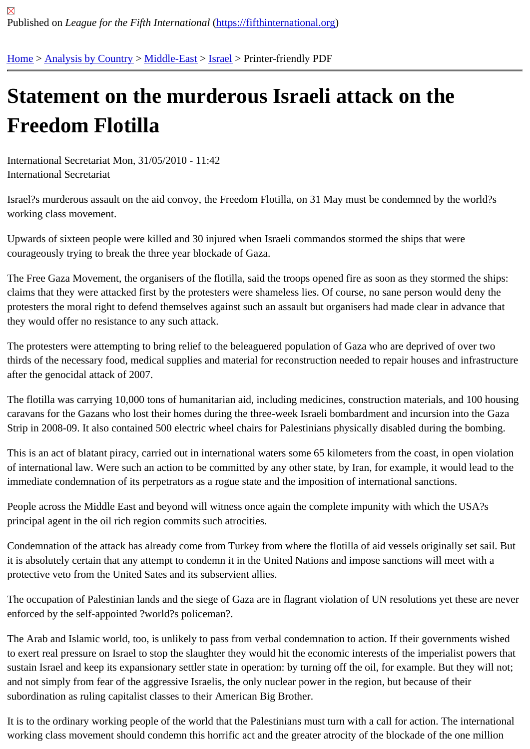## [Sta](https://fifthinternational.org/)[tement on](https://fifthinternational.org/category/1) [the mu](https://fifthinternational.org/category/1/178)[rde](https://fifthinternational.org/category/1/178/465)rous Israeli attack on the Freedom Flotilla

International Secretariat Mon, 31/05/2010 - 11:42 International Secretariat

Israel?s murderous assault on the aid convoy, the Freedom Flotilla, on 31 May must be condemned by the world? working class movement.

Upwards of sixteen people were killed and 30 injured when Israeli commandos stormed the ships that were courageously trying to break the three year blockade of Gaza.

The Free Gaza Movement, the organisers of the flotilla, said the troops opened fire as soon as they stormed the sl claims that they were attacked first by the protesters were shameless lies. Of course, no sane person would deny the protesters the moral right to defend themselves against such an assault but organisers had made clear in advance they would offer no resistance to any such attack.

The protesters were attempting to bring relief to the beleaguered population of Gaza who are deprived of over two thirds of the necessary food, medical supplies and material for reconstruction needed to repair houses and infrastr after the genocidal attack of 2007.

The flotilla was carrying 10,000 tons of humanitarian aid, including medicines, construction materials, and 100 hou caravans for the Gazans who lost their homes during the three-week Israeli bombardment and incursion into the G Strip in 2008-09. It also contained 500 electric wheel chairs for Palestinians physically disabled during the bombing.

This is an act of blatant piracy, carried out in international waters some 65 kilometers from the coast, in open viola of international law. Were such an action to be committed by any other state, by Iran, for example, it would lead to immediate condemnation of its perpetrators as a rogue state and the imposition of international sanctions.

People across the Middle East and beyond will witness once again the complete impunity with which the USA?s principal agent in the oil rich region commits such atrocities.

Condemnation of the attack has already come from Turkey from where the flotilla of aid vessels originally set sail. it is absolutely certain that any attempt to condemn it in the United Nations and impose sanctions will meet with a protective veto from the United Sates and its subservient allies.

The occupation of Palestinian lands and the siege of Gaza are in flagrant violation of UN resolutions yet these are enforced by the self-appointed ?world?s policeman?.

The Arab and Islamic world, too, is unlikely to pass from verbal condemnation to action. If their governments wishe to exert real pressure on Israel to stop the slaughter they would hit the economic interests of the imperialist powers sustain Israel and keep its expansionary settler state in operation: by turning off the oil, for example. But they will r and not simply from fear of the aggressive Israelis, the only nuclear power in the region, but because of their subordination as ruling capitalist classes to their American Big Brother.

It is to the ordinary working people of the world that the Palestinians must turn with a call for action. The internation working class movement should condemn this horrific act and the greater atrocity of the blockade of the one millio